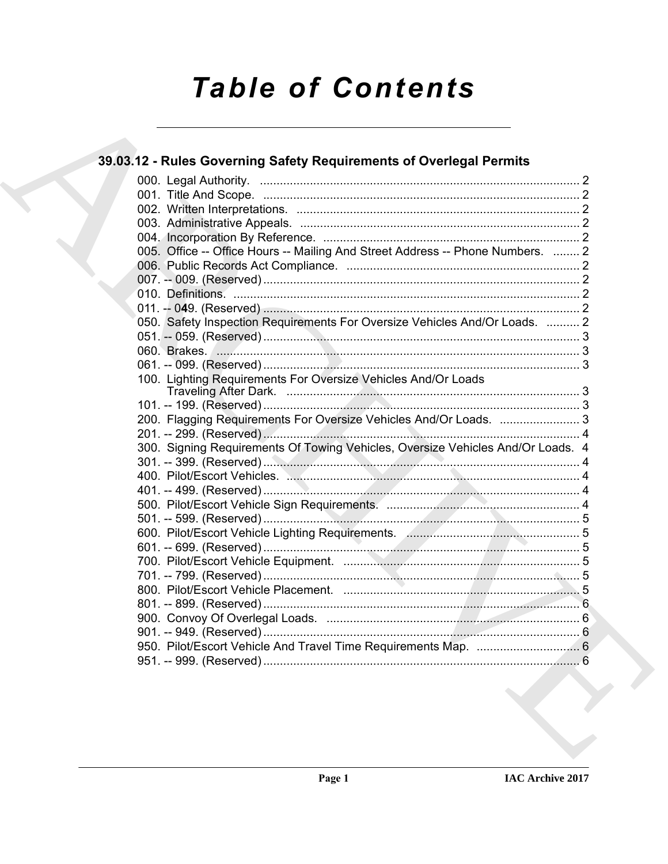# **Table of Contents**

## 39.03.12 - Rules Governing Safety Requirements of Overlegal Permits 005. Office -- Office Hours -- Mailing And Street Address -- Phone Numbers. ........ 2 050. Safety Inspection Requirements For Oversize Vehicles And/Or Loads. .......... 2 100. Lighting Requirements For Oversize Vehicles And/Or Loads 200. Flagging Requirements For Oversize Vehicles And/Or Loads. .........................3 300. Signing Requirements Of Towing Vehicles, Oversize Vehicles And/Or Loads. 4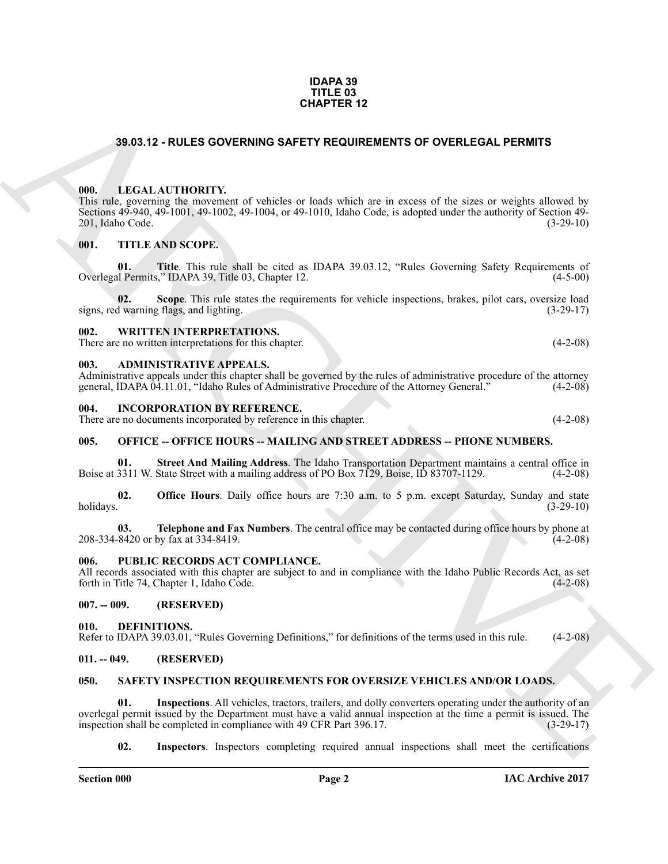#### **IDAPA 39 TITLE 03 CHAPTER 12**

#### <span id="page-1-0"></span>**39.03.12 - RULES GOVERNING SAFETY REQUIREMENTS OF OVERLEGAL PERMITS**

#### <span id="page-1-1"></span>**000. LEGAL AUTHORITY.**

**39.03.12 - RULES GOVERNING SAFETY REQUIREMENTS OF OVERLEGAL PERMITS<br>
1990.12 - RULES GOVERNING SAFETY REQUIREMENTS OF OVERLEGAL PERMITS<br>
1990. LITTLE ARCHIVES of visible or loads which are in exposed to site or weights a** This rule, governing the movement of vehicles or loads which are in excess of the sizes or weights allowed by Sections 49-940, 49-1001, 49-1002, 49-1004, or 49-1010, Idaho Code, is adopted under the authority of Section 49-<br>201, Idaho Code. (3-29-10) 201, Idaho Code.

#### <span id="page-1-2"></span>**001. TITLE AND SCOPE.**

**01.** Title. This rule shall be cited as IDAPA 39.03.12, "Rules Governing Safety Requirements of al Permits," IDAPA 39, Title 03, Chapter 12. Overlegal Permits," IDAPA 39, Title 03, Chapter 12.

**02.** Scope. This rule states the requirements for vehicle inspections, brakes, pilot cars, oversize load d warning flags, and lighting. signs, red warning flags, and lighting.

#### <span id="page-1-3"></span>**002. WRITTEN INTERPRETATIONS.**

There are no written interpretations for this chapter. (4-2-08)

#### <span id="page-1-4"></span>**003. ADMINISTRATIVE APPEALS.**

Administrative appeals under this chapter shall be governed by the rules of administrative procedure of the attorney general, IDAPA 04.11.01, "Idaho Rules of Administrative Procedure of the Attorney General." (4-2-08) general, IDAPA 04.11.01, "Idaho Rules of Administrative Procedure of the Attorney General."

#### <span id="page-1-5"></span>**004. INCORPORATION BY REFERENCE.**

There are no documents incorporated by reference in this chapter. (4-2-08)

#### <span id="page-1-6"></span>**005. OFFICE -- OFFICE HOURS -- MAILING AND STREET ADDRESS -- PHONE NUMBERS.**

**01.** Street And Mailing Address. The Idaho Transportation Department maintains a central office in 3311 W. State Street with a mailing address of PO Box 7129, Boise, ID 83707-1129. (4-2-08) Boise at 3311 W. State Street with a mailing address of PO Box 7129, Boise, ID 83707-1129.

**02. Office Hours**. Daily office hours are 7:30 a.m. to 5 p.m. except Saturday, Sunday and state holidays. (3-29-10) holidays. (3-29-10)

**03. Telephone and Fax Numbers**. The central office may be contacted during office hours by phone at 8420 or by fax at 334-8419. 208-334-8420 or by fax at 334-8419.

#### <span id="page-1-7"></span>**006. PUBLIC RECORDS ACT COMPLIANCE.**

All records associated with this chapter are subject to and in compliance with the Idaho Public Records Act, as set forth in Title 74, Chapter 1, Idaho Code. (4-2-08) forth in Title 74, Chapter 1, Idaho Code.

#### <span id="page-1-8"></span>**007. -- 009. (RESERVED)**

#### <span id="page-1-12"></span><span id="page-1-9"></span>**010. DEFINITIONS.**

Refer to IDAPA 39.03.01, "Rules Governing Definitions," for definitions of the terms used in this rule. (4-2-08)

#### <span id="page-1-10"></span>**011. -- 049. (RESERVED)**

#### <span id="page-1-13"></span><span id="page-1-11"></span>**050. SAFETY INSPECTION REQUIREMENTS FOR OVERSIZE VEHICLES AND/OR LOADS.**

**01. Inspections**. All vehicles, tractors, trailers, and dolly converters operating under the authority of an overlegal permit issued by the Department must have a valid annual inspection at the time a permit is issued. The inspection shall be completed in compliance with 49 CFR Part 396.17. inspection shall be completed in compliance with 49 CFR Part 396.17.

<span id="page-1-15"></span><span id="page-1-14"></span>**02. Inspectors**. Inspectors completing required annual inspections shall meet the certifications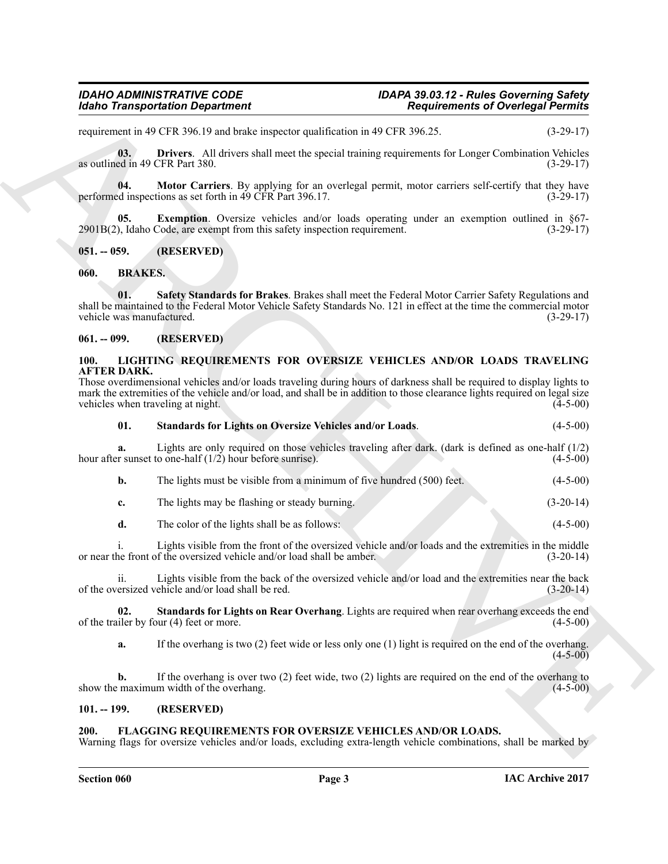requirement in 49 CFR 396.19 and brake inspector qualification in 49 CFR 396.25. (3-29-17)

<span id="page-2-12"></span>**03. Drivers**. All drivers shall meet the special training requirements for Longer Combination Vehicles as outlined in 49 CFR Part 380. (3-29-17)

<span id="page-2-14"></span>**04.** Motor Carriers. By applying for an overlegal permit, motor carriers self-certify that they have ed inspections as set forth in 49 CFR Part 396.17. (3-29-17) performed inspections as set forth in  $\overrightarrow{49}$  CFR Part 396.17.

<span id="page-2-13"></span>**05.** Exemption. Oversize vehicles and/or loads operating under an exemption outlined in §67-2901B(2), Idaho Code, are exempt from this safety inspection requirement. (3-29-17)

<span id="page-2-0"></span>**051. -- 059. (RESERVED)**

<span id="page-2-7"></span><span id="page-2-6"></span><span id="page-2-1"></span>**060. BRAKES.**

**Example The state of the state of the state of the state of the state of the state of the state of the state of the state of the state of the state of the state of the state of the state of the state of the state of the 01. Safety Standards for Brakes**. Brakes shall meet the Federal Motor Carrier Safety Regulations and shall be maintained to the Federal Motor Vehicle Safety Standards No. 121 in effect at the time the commercial motor vehicle was manufactured. (3-29-17) vehicle was manufactured.

#### <span id="page-2-2"></span>**061. -- 099. (RESERVED)**

#### <span id="page-2-9"></span><span id="page-2-3"></span>**100. LIGHTING REQUIREMENTS FOR OVERSIZE VEHICLES AND/OR LOADS TRAVELING AFTER DARK.**

| Those overdimensional vehicles and/or loads traveling during hours of darkness shall be required to display lights to      |            |
|----------------------------------------------------------------------------------------------------------------------------|------------|
| mark the extremities of the vehicle and/or load, and shall be in addition to those clearance lights required on legal size |            |
| vehicles when traveling at night.                                                                                          | $(4-5-00)$ |

<span id="page-2-10"></span>

| - 01. | Standards for Lights on Oversize Vehicles and/or Loads. | $(4-5-00)$ |
|-------|---------------------------------------------------------|------------|
|       |                                                         |            |

**a.** Lights are only required on those vehicles traveling after dark. (dark is defined as one-half (1/2) r sunset to one-half (1/2) hour before sunrise). (4-5-00) hour after sunset to one-half  $(1/2)$  hour before sunrise).

| The lights must be visible from a minimum of five hundred (500) feet. | $(4-5-00)$  |
|-----------------------------------------------------------------------|-------------|
| The lights may be flashing or steady burning.                         | $(3-20-14)$ |

**d.** The color of the lights shall be as follows: (4-5-00)

i. Lights visible from the front of the oversized vehicle and/or loads and the extremities in the middle ne front of the oversized vehicle and/or load shall be amber. (3-20-14) or near the front of the oversized vehicle and/or load shall be amber.

ii. Lights visible from the back of the oversized vehicle and/or load and the extremities near the back of the oversized vehicle and/or load shall be red. (3-20-14)

**02. Standards for Lights on Rear Overhang**. Lights are required when rear overhang exceeds the end iler by four (4) feet or more. of the trailer by four  $(4)$  feet or more.

<span id="page-2-11"></span>**a.** If the overhang is two (2) feet wide or less only one (1) light is required on the end of the overhang.  $(4 - 5 - 00)$ 

**b.** If the overhang is over two (2) feet wide, two (2) lights are required on the end of the overhang to show the maximum width of the overhang. (4-5-00)

#### <span id="page-2-4"></span>**101. -- 199. (RESERVED)**

#### <span id="page-2-8"></span><span id="page-2-5"></span>**200. FLAGGING REQUIREMENTS FOR OVERSIZE VEHICLES AND/OR LOADS.**

Warning flags for oversize vehicles and/or loads, excluding extra-length vehicle combinations, shall be marked by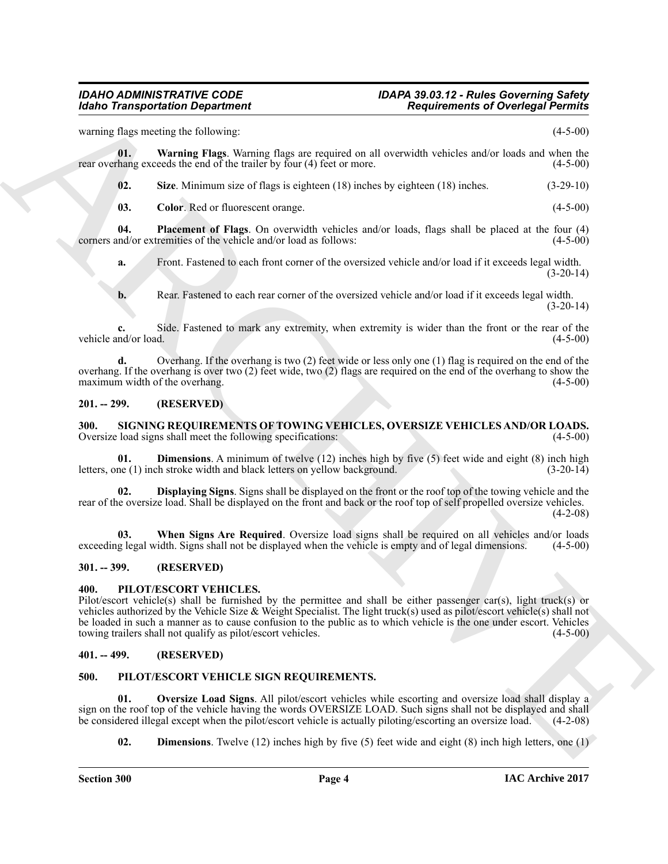warning flags meeting the following: (4-5-00)

**01. Warning Flags**. Warning flags are required on all overwidth vehicles and/or loads and when the rear overhang exceeds the end of the trailer by four (4) feet or more. (4-5-00)

<span id="page-3-9"></span><span id="page-3-8"></span>**02. Size**. Minimum size of flags is eighteen (18) inches by eighteen (18) inches. (3-29-10)

<span id="page-3-7"></span><span id="page-3-6"></span>**03.** Color: Red or fluorescent orange. (4-5-00)

**04. Placement of Flags**. On overwidth vehicles and/or loads, flags shall be placed at the four (4) and/or extremities of the vehicle and/or load as follows: (4-5-00) corners and/or extremities of the vehicle and/or load as follows:

**a.** Front. Fastened to each front corner of the oversized vehicle and/or load if it exceeds legal width.  $(3-20-14)$ 

**b.** Rear. Fastened to each rear corner of the oversized vehicle and/or load if it exceeds legal width.  $(3-20-14)$ 

**c.** Side. Fastened to mark any extremity, when extremity is wider than the front or the rear of the nd/or load. (4-5-00) vehicle and/or load.

**d.** Overhang. If the overhang is two (2) feet wide or less only one (1) flag is required on the end of the overhang. If the overhang is over two (2) feet wide, two (2) flags are required on the end of the overhang to show the maximum width of the overhang. (4-5-00) maximum width of the overhang.

#### <span id="page-3-0"></span>**201. -- 299. (RESERVED)**

<span id="page-3-14"></span><span id="page-3-1"></span>**300.** SIGNING REQUIREMENTS OF TOWING VEHICLES, OVERSIZE VEHICLES AND/OR LOADS.<br>Oversize load signs shall meet the following specifications: (4-5-00) Oversize load signs shall meet the following specifications:

<span id="page-3-15"></span>**01. Dimensions**. A minimum of twelve (12) inches high by five (5) feet wide and eight (8) inch high ne (1) inch stroke width and black letters on yellow background. (3-20-14) letters, one  $(1)$  inch stroke width and black letters on yellow background.

<span id="page-3-16"></span>**02. Displaying Signs**. Signs shall be displayed on the front or the roof top of the towing vehicle and the rear of the oversize load. Shall be displayed on the front and back or the roof top of self propelled oversize vehicles.  $(4-2-08)$ 

<span id="page-3-17"></span>**03.** When Signs Are Required. Oversize load signs shall be required on all vehicles and/or loads g legal width. Signs shall not be displayed when the vehicle is empty and of legal dimensions. (4-5-00) exceeding legal width. Signs shall not be displayed when the vehicle is empty and of legal dimensions.

#### <span id="page-3-2"></span>**301. -- 399. (RESERVED)**

#### <span id="page-3-13"></span><span id="page-3-3"></span>**400. PILOT/ESCORT VEHICLES.**

**Example The system of the system of the system of the system of Ocelega Permit values<br>
Sources The System of the system of the system of the system of the system of the system of the system of the system of the system o** Pilot/escort vehicle(s) shall be furnished by the permittee and shall be either passenger car(s), light truck(s) or vehicles authorized by the Vehicle Size & Weight Specialist. The light truck(s) used as pilot/escort vehicle(s) shall not be loaded in such a manner as to cause confusion to the public as to which vehicle is the one under escort. Vehicles towing trailers shall not qualify as pilot/escort vehicles. (4-5-00) towing trailers shall not qualify as pilot/escort vehicles.

#### <span id="page-3-4"></span>**401. -- 499. (RESERVED)**

#### <span id="page-3-10"></span><span id="page-3-5"></span>**500. PILOT/ESCORT VEHICLE SIGN REQUIREMENTS.**

**01. Oversize Load Signs**. All pilot/escort vehicles while escorting and oversize load shall display a sign on the roof top of the vehicle having the words OVERSIZE LOAD. Such signs shall not be displayed and shall<br>be considered illegal except when the pilot/escort vehicle is actually piloting/escorting an oversize load. (4 be considered illegal except when the pilot/escort vehicle is actually piloting/escorting an oversize load.

<span id="page-3-12"></span><span id="page-3-11"></span>**02. Dimensions**. Twelve (12) inches high by five (5) feet wide and eight (8) inch high letters, one (1)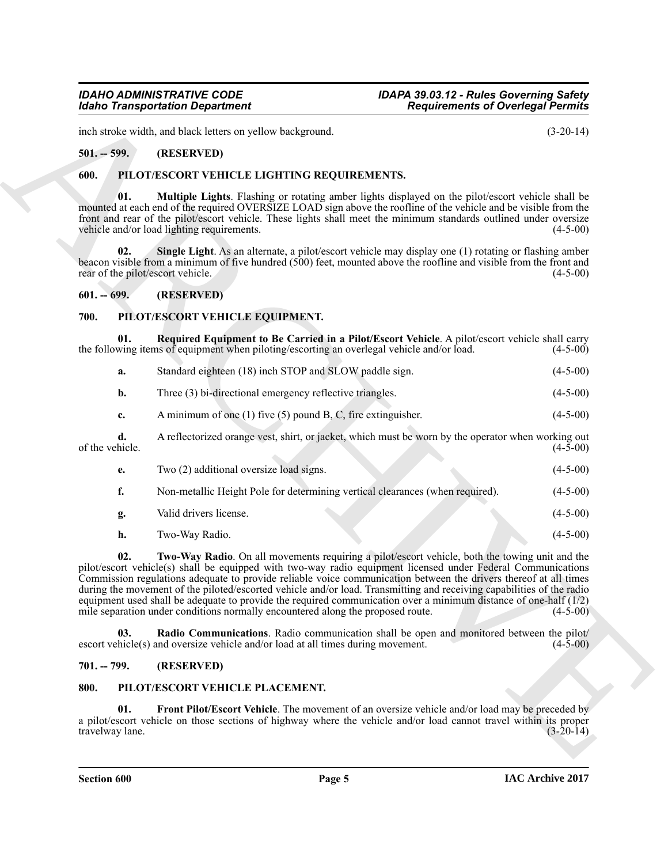inch stroke width, and black letters on yellow background. (3-20-14)

#### <span id="page-4-0"></span>**501. -- 599. (RESERVED)**

#### <span id="page-4-10"></span><span id="page-4-1"></span>**600. PILOT/ESCORT VEHICLE LIGHTING REQUIREMENTS.**

<span id="page-4-11"></span>**01. Multiple Lights**. Flashing or rotating amber lights displayed on the pilot/escort vehicle shall be mounted at each end of the required OVERSIZE LOAD sign above the roofline of the vehicle and be visible from the front and rear of the pilot/escort vehicle. These lights shall meet the minimum standards outlined under oversize vehicle and/or load lighting requirements. (4-5-00)

<span id="page-4-12"></span>**Single Light**. As an alternate, a pilot/escort vehicle may display one (1) rotating or flashing amber beacon visible from a minimum of five hundred (500) feet, mounted above the roofline and visible from the front and rear of the pilot/escort vehicle. (4-5-00) rear of the pilot/escort vehicle.

#### <span id="page-4-2"></span>**601. -- 699. (RESERVED)**

#### <span id="page-4-6"></span><span id="page-4-3"></span>**700. PILOT/ESCORT VEHICLE EQUIPMENT.**

**01. Required Equipment to Be Carried in a Pilot/Escort Vehicle**. A pilot/escort vehicle shall carry the following items of equipment when piloting/escorting an overlegal vehicle and/or load. (4-5-00)

<span id="page-4-8"></span>

| а. | Standard eighteen (18) inch STOP and SLOW paddle sign.   | $(4-5-00)$ |
|----|----------------------------------------------------------|------------|
|    | Three (3) bi-directional emergency reflective triangles. | $(4-5-00)$ |

**c.** A minimum of one (1) five (5) pound B, C, fire extinguisher. (4-5-00)

**d.** A reflectorized orange vest, shirt, or jacket, which must be worn by the operator when working out hicle. (4-5-00) of the vehicle.

| е. | Two (2) additional oversize load signs.                                       | $(4-5-00)$ |
|----|-------------------------------------------------------------------------------|------------|
|    | Non-metallic Height Pole for determining vertical clearances (when required). | $(4-5-00)$ |
| g. | Valid drivers license.                                                        | $(4-5-00)$ |

<span id="page-4-9"></span>**h.** Two-Way Radio. (4-5-00)

**Existence Controllers** and the state of the state of the state of the state of the state of the state of the state of the state of the state of the state of the state of the state of the state of the state of the state **02. Two-Way Radio**. On all movements requiring a pilot/escort vehicle, both the towing unit and the pilot/escort vehicle(s) shall be equipped with two-way radio equipment licensed under Federal Communications Commission regulations adequate to provide reliable voice communication between the drivers thereof at all times during the movement of the piloted/escorted vehicle and/or load. Transmitting and receiving capabilities of the radio equipment used shall be adequate to provide the required communication over a minimum distance of one-half (1/2) mile separation under conditions normally encountered along the proposed route. (4-5-00) mile separation under conditions normally encountered along the proposed route.

<span id="page-4-7"></span>**03. Radio Communications**. Radio communication shall be open and monitored between the pilot/ escort vehicle(s) and oversize vehicle and/or load at all times during movement. (4-5-00)

#### <span id="page-4-4"></span>**701. -- 799. (RESERVED)**

#### <span id="page-4-13"></span><span id="page-4-5"></span>**800. PILOT/ESCORT VEHICLE PLACEMENT.**

<span id="page-4-14"></span>**01. Front Pilot/Escort Vehicle**. The movement of an oversize vehicle and/or load may be preceded by a pilot/escort vehicle on those sections of highway where the vehicle and/or load cannot travel within its proper<br>(3-20-14) travelway lane.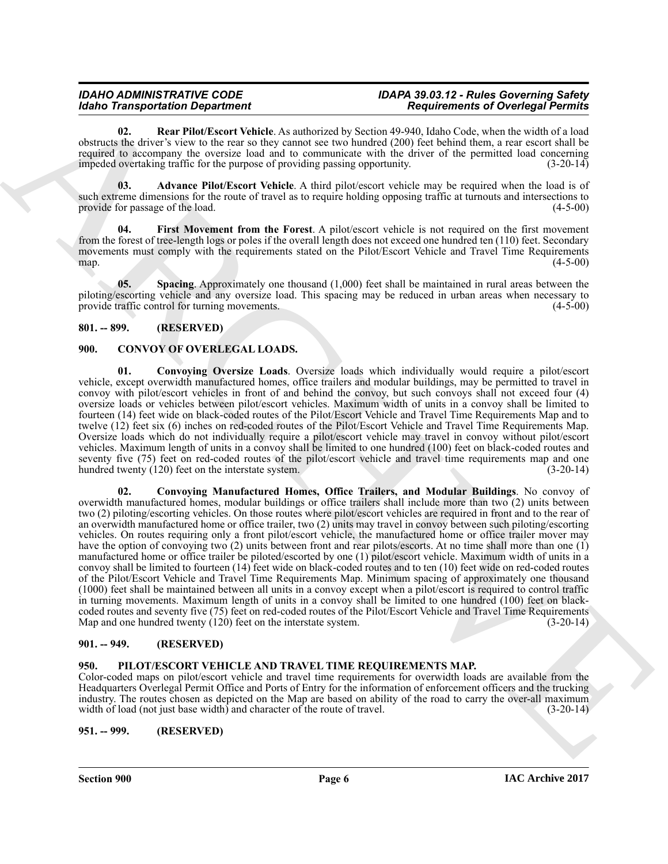## *Idaho Transportation Department*

## *IDAHO ADMINISTRATIVE CODE IDAPA 39.03.12 - Rules Governing Safety*

<span id="page-5-11"></span>**02. Rear Pilot/Escort Vehicle**. As authorized by Section 49-940, Idaho Code, when the width of a load obstructs the driver's view to the rear so they cannot see two hundred (200) feet behind them, a rear escort shall be required to accompany the oversize load and to communicate with the driver of the permitted load concerning impeded overtaking traffic for the purpose of providing passing opportunity. (3-20-14)

<span id="page-5-9"></span>**03. Advance Pilot/Escort Vehicle**. A third pilot/escort vehicle may be required when the load is of such extreme dimensions for the route of travel as to require holding opposing traffic at turnouts and intersections to provide for passage of the load. (4-5-00) provide for passage of the load.

<span id="page-5-10"></span>**04. First Movement from the Forest**. A pilot/escort vehicle is not required on the first movement from the forest of tree-length logs or poles if the overall length does not exceed one hundred ten (110) feet. Secondary movements must comply with the requirements stated on the Pilot/Escort Vehicle and Travel Time Requirements map.<br>(4-5-00) map.  $(4-5-00)$ 

<span id="page-5-12"></span>**05. Spacing**. Approximately one thousand (1,000) feet shall be maintained in rural areas between the piloting/escorting vehicle and any oversize load. This spacing may be reduced in urban areas when necessary to provide traffic control for turning movements. (4-5-00) provide traffic control for turning movements.

## <span id="page-5-0"></span>**801. -- 899. (RESERVED)**

## <span id="page-5-5"></span><span id="page-5-1"></span>**900. CONVOY OF OVERLEGAL LOADS.**

<span id="page-5-7"></span><span id="page-5-6"></span>**01. Convoying Oversize Loads**. Oversize loads which individually would require a pilot/escort vehicle, except overwidth manufactured homes, office trailers and modular buildings, may be permitted to travel in convoy with pilot/escort vehicles in front of and behind the convoy, but such convoys shall not exceed four (4) oversize loads or vehicles between pilot/escort vehicles. Maximum width of units in a convoy shall be limited to fourteen (14) feet wide on black-coded routes of the Pilot/Escort Vehicle and Travel Time Requirements Map and to twelve (12) feet six (6) inches on red-coded routes of the Pilot/Escort Vehicle and Travel Time Requirements Map. Oversize loads which do not individually require a pilot/escort vehicle may travel in convoy without pilot/escort vehicles. Maximum length of units in a convoy shall be limited to one hundred (100) feet on black-coded routes and seventy five (75) feet on red-coded routes of the pilot/escort vehicle and travel time requirements map and one hundred twenty (120) feet on the interstate system. hundred twenty  $(120)$  feet on the interstate system.

**EXAMPLE CONSTRAINTS AND ARCHIVES ASSESSMENT CONSULTING THE CONSULTING CONSULTING THE CONSULTING CONSULTING THE CONSULTING CONSULTING CONSULTING THE CONSULTING CONSULTING THE CONSULTING CONSULTING THE CONSULTING CONSULTI 02. Convoying Manufactured Homes, Office Trailers, and Modular Buildings**. No convoy of overwidth manufactured homes, modular buildings or office trailers shall include more than two (2) units between two (2) piloting/escorting vehicles. On those routes where pilot/escort vehicles are required in front and to the rear of an overwidth manufactured home or office trailer, two (2) units may travel in convoy between such piloting/escorting vehicles. On routes requiring only a front pilot/escort vehicle, the manufactured home or office trailer mover may have the option of convoying two (2) units between front and rear pilots/escorts. At no time shall more than one (1) manufactured home or office trailer be piloted/escorted by one (1) pilot/escort vehicle. Maximum width of units in a convoy shall be limited to fourteen (14) feet wide on black-coded routes and to ten (10) feet wide on red-coded routes of the Pilot/Escort Vehicle and Travel Time Requirements Map. Minimum spacing of approximately one thousand (1000) feet shall be maintained between all units in a convoy except when a pilot/escort is required to control traffic in turning movements. Maximum length of units in a convoy shall be limited to one hundred (100) feet on blackcoded routes and seventy five (75) feet on red-coded routes of the Pilot/Escort Vehicle and Travel Time Requirements<br>Map and one hundred twenty (120) feet on the interstate system. Map and one hundred twenty  $(120)$  feet on the interstate system.

#### <span id="page-5-2"></span>**901. -- 949. (RESERVED)**

## <span id="page-5-8"></span><span id="page-5-3"></span>**950. PILOT/ESCORT VEHICLE AND TRAVEL TIME REQUIREMENTS MAP.**

Color-coded maps on pilot/escort vehicle and travel time requirements for overwidth loads are available from the Headquarters Overlegal Permit Office and Ports of Entry for the information of enforcement officers and the trucking industry. The routes chosen as depicted on the Map are based on ability of the road to carry the over-all maximum width of load (not just base width) and character of the route of travel. (3-20-14)

<span id="page-5-4"></span>**951. -- 999. (RESERVED)**